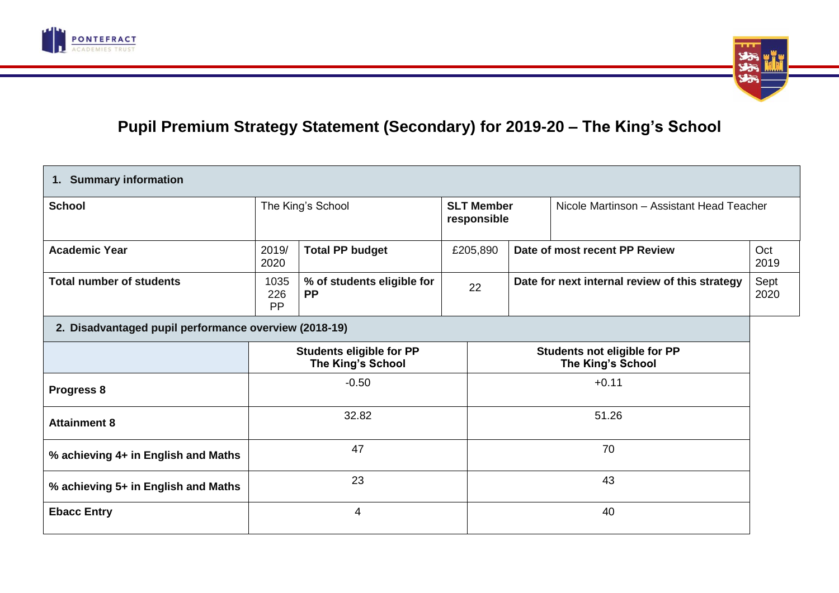



## **Pupil Premium Strategy Statement (Secondary) for 2019-20 – The King's School**

| 1. Summary information                                |                                                             |                                         |                                                          |       |  |                                                |              |
|-------------------------------------------------------|-------------------------------------------------------------|-----------------------------------------|----------------------------------------------------------|-------|--|------------------------------------------------|--------------|
| <b>School</b>                                         | The King's School                                           |                                         | <b>SLT Member</b><br>responsible                         |       |  | Nicole Martinson - Assistant Head Teacher      |              |
| <b>Academic Year</b>                                  | 2019/<br>2020                                               | <b>Total PP budget</b>                  | £205,890                                                 |       |  | Date of most recent PP Review                  | Oct<br>2019  |
| <b>Total number of students</b>                       | 1035<br>226<br><b>PP</b>                                    | % of students eligible for<br><b>PP</b> |                                                          | 22    |  | Date for next internal review of this strategy | Sept<br>2020 |
| 2. Disadvantaged pupil performance overview (2018-19) |                                                             |                                         |                                                          |       |  |                                                |              |
|                                                       | <b>Students eligible for PP</b><br><b>The King's School</b> |                                         | <b>Students not eligible for PP</b><br>The King's School |       |  |                                                |              |
| Progress 8                                            |                                                             | $-0.50$                                 |                                                          |       |  | $+0.11$                                        |              |
| <b>Attainment 8</b>                                   | 32.82                                                       |                                         |                                                          | 51.26 |  |                                                |              |
| % achieving 4+ in English and Maths                   | 47                                                          |                                         |                                                          | 70    |  |                                                |              |
| % achieving 5+ in English and Maths                   | 23                                                          |                                         |                                                          | 43    |  |                                                |              |
| <b>Ebacc Entry</b>                                    |                                                             | 4                                       |                                                          |       |  | 40                                             |              |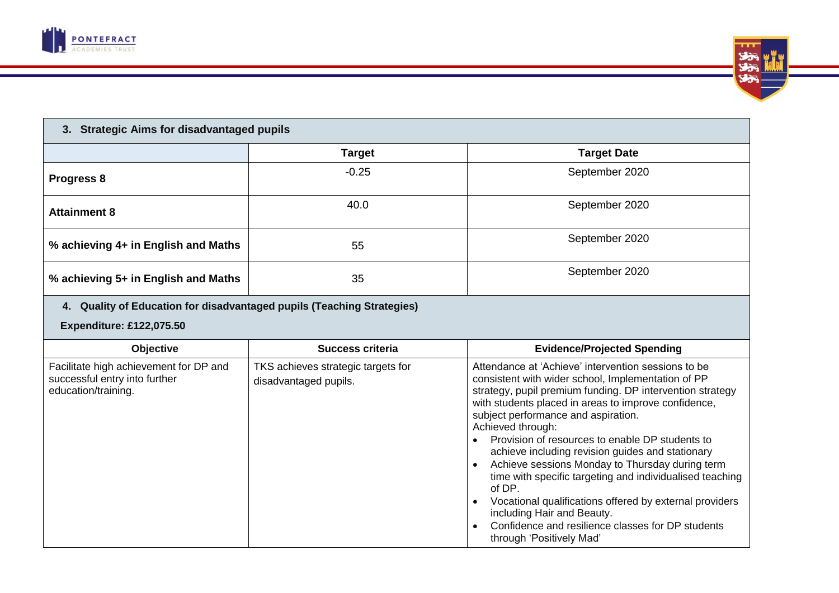



| 3. Strategic Aims for disadvantaged pupils                                                                |                                                             |                                                                                                                                                                                                                                                                                                                                                                                                                                                                                                                                                                                                                                                                                                      |  |  |
|-----------------------------------------------------------------------------------------------------------|-------------------------------------------------------------|------------------------------------------------------------------------------------------------------------------------------------------------------------------------------------------------------------------------------------------------------------------------------------------------------------------------------------------------------------------------------------------------------------------------------------------------------------------------------------------------------------------------------------------------------------------------------------------------------------------------------------------------------------------------------------------------------|--|--|
|                                                                                                           | <b>Target</b>                                               | <b>Target Date</b>                                                                                                                                                                                                                                                                                                                                                                                                                                                                                                                                                                                                                                                                                   |  |  |
| <b>Progress 8</b>                                                                                         | $-0.25$                                                     | September 2020                                                                                                                                                                                                                                                                                                                                                                                                                                                                                                                                                                                                                                                                                       |  |  |
| <b>Attainment 8</b>                                                                                       | 40.0                                                        | September 2020                                                                                                                                                                                                                                                                                                                                                                                                                                                                                                                                                                                                                                                                                       |  |  |
| % achieving 4+ in English and Maths                                                                       | 55                                                          | September 2020                                                                                                                                                                                                                                                                                                                                                                                                                                                                                                                                                                                                                                                                                       |  |  |
| % achieving 5+ in English and Maths                                                                       | 35                                                          | September 2020                                                                                                                                                                                                                                                                                                                                                                                                                                                                                                                                                                                                                                                                                       |  |  |
| 4. Quality of Education for disadvantaged pupils (Teaching Strategies)<br><b>Expenditure: £122,075.50</b> |                                                             |                                                                                                                                                                                                                                                                                                                                                                                                                                                                                                                                                                                                                                                                                                      |  |  |
| Objective                                                                                                 | <b>Success criteria</b>                                     | <b>Evidence/Projected Spending</b>                                                                                                                                                                                                                                                                                                                                                                                                                                                                                                                                                                                                                                                                   |  |  |
| Facilitate high achievement for DP and<br>successful entry into further<br>education/training.            | TKS achieves strategic targets for<br>disadvantaged pupils. | Attendance at 'Achieve' intervention sessions to be<br>consistent with wider school, Implementation of PP<br>strategy, pupil premium funding. DP intervention strategy<br>with students placed in areas to improve confidence,<br>subject performance and aspiration.<br>Achieved through:<br>Provision of resources to enable DP students to<br>achieve including revision guides and stationary<br>Achieve sessions Monday to Thursday during term<br>time with specific targeting and individualised teaching<br>of DP.<br>Vocational qualifications offered by external providers<br>including Hair and Beauty.<br>Confidence and resilience classes for DP students<br>through 'Positively Mad' |  |  |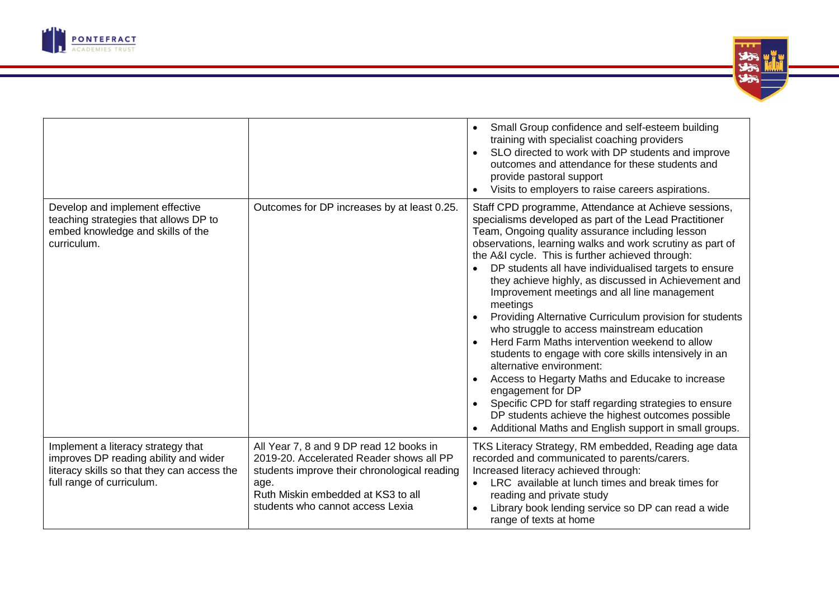



|                                                                                                                                                         |                                                                                                                                                                                                                       | Small Group confidence and self-esteem building<br>training with specialist coaching providers<br>SLO directed to work with DP students and improve<br>$\bullet$<br>outcomes and attendance for these students and<br>provide pastoral support<br>Visits to employers to raise careers aspirations.<br>$\bullet$                                                                                                                                                                                                                                                                                                                                                                                                                                                                                                                                                                                                                                                |
|---------------------------------------------------------------------------------------------------------------------------------------------------------|-----------------------------------------------------------------------------------------------------------------------------------------------------------------------------------------------------------------------|-----------------------------------------------------------------------------------------------------------------------------------------------------------------------------------------------------------------------------------------------------------------------------------------------------------------------------------------------------------------------------------------------------------------------------------------------------------------------------------------------------------------------------------------------------------------------------------------------------------------------------------------------------------------------------------------------------------------------------------------------------------------------------------------------------------------------------------------------------------------------------------------------------------------------------------------------------------------|
| Develop and implement effective<br>teaching strategies that allows DP to<br>embed knowledge and skills of the<br>curriculum.                            | Outcomes for DP increases by at least 0.25.                                                                                                                                                                           | Staff CPD programme, Attendance at Achieve sessions,<br>specialisms developed as part of the Lead Practitioner<br>Team, Ongoing quality assurance including lesson<br>observations, learning walks and work scrutiny as part of<br>the A&I cycle. This is further achieved through:<br>DP students all have individualised targets to ensure<br>they achieve highly, as discussed in Achievement and<br>Improvement meetings and all line management<br>meetings<br>Providing Alternative Curriculum provision for students<br>who struggle to access mainstream education<br>Herd Farm Maths intervention weekend to allow<br>students to engage with core skills intensively in an<br>alternative environment:<br>Access to Hegarty Maths and Educake to increase<br>engagement for DP<br>Specific CPD for staff regarding strategies to ensure<br>DP students achieve the highest outcomes possible<br>Additional Maths and English support in small groups. |
| Implement a literacy strategy that<br>improves DP reading ability and wider<br>literacy skills so that they can access the<br>full range of curriculum. | All Year 7, 8 and 9 DP read 12 books in<br>2019-20. Accelerated Reader shows all PP<br>students improve their chronological reading<br>age.<br>Ruth Miskin embedded at KS3 to all<br>students who cannot access Lexia | TKS Literacy Strategy, RM embedded, Reading age data<br>recorded and communicated to parents/carers.<br>Increased literacy achieved through:<br>LRC available at lunch times and break times for<br>reading and private study<br>Library book lending service so DP can read a wide<br>$\bullet$<br>range of texts at home                                                                                                                                                                                                                                                                                                                                                                                                                                                                                                                                                                                                                                      |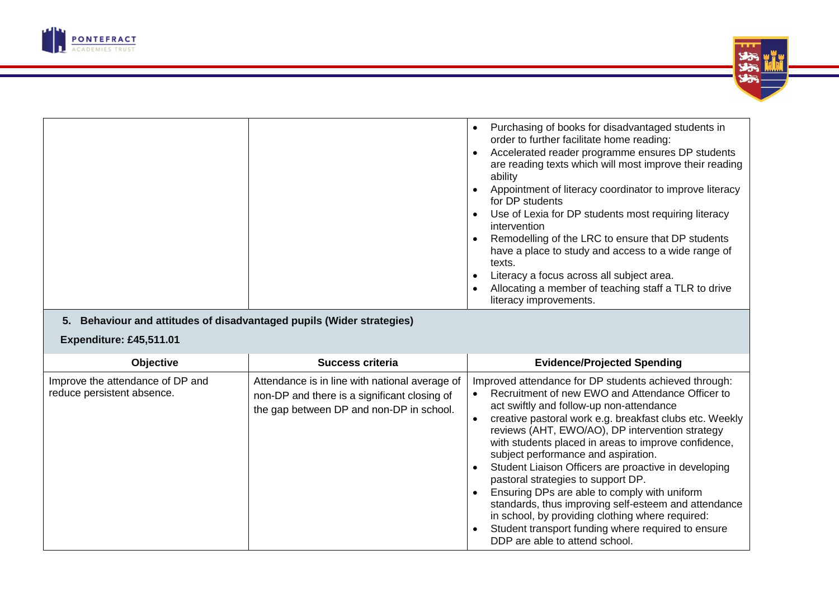



| Purchasing of books for disadvantaged students in<br>order to further facilitate home reading:<br>Accelerated reader programme ensures DP students<br>are reading texts which will most improve their reading<br>ability<br>Appointment of literacy coordinator to improve literacy<br>for DP students<br>Use of Lexia for DP students most requiring literacy<br>intervention<br>Remodelling of the LRC to ensure that DP students<br>have a place to study and access to a wide range of<br>texts.<br>Literacy a focus across all subject area.<br>Allocating a member of teaching staff a TLR to drive<br>literacy improvements. |  |
|-------------------------------------------------------------------------------------------------------------------------------------------------------------------------------------------------------------------------------------------------------------------------------------------------------------------------------------------------------------------------------------------------------------------------------------------------------------------------------------------------------------------------------------------------------------------------------------------------------------------------------------|--|
|                                                                                                                                                                                                                                                                                                                                                                                                                                                                                                                                                                                                                                     |  |

## **5. Behaviour and attitudes of disadvantaged pupils (Wider strategies)**

## **Expenditure: £45,511.01**

| <b>Objective</b>                                               | Success criteria                                                                                                                           | <b>Evidence/Projected Spending</b>                                                                                                                                                                                                                                                                                                                                                                                                                                                                                                                                                                                                                                                                                   |
|----------------------------------------------------------------|--------------------------------------------------------------------------------------------------------------------------------------------|----------------------------------------------------------------------------------------------------------------------------------------------------------------------------------------------------------------------------------------------------------------------------------------------------------------------------------------------------------------------------------------------------------------------------------------------------------------------------------------------------------------------------------------------------------------------------------------------------------------------------------------------------------------------------------------------------------------------|
| Improve the attendance of DP and<br>reduce persistent absence. | Attendance is in line with national average of<br>non-DP and there is a significant closing of<br>the gap between DP and non-DP in school. | Improved attendance for DP students achieved through:<br>Recruitment of new EWO and Attendance Officer to<br>act swiftly and follow-up non-attendance<br>creative pastoral work e.g. breakfast clubs etc. Weekly<br>reviews (AHT, EWO/AO), DP intervention strategy<br>with students placed in areas to improve confidence,<br>subject performance and aspiration.<br>Student Liaison Officers are proactive in developing<br>pastoral strategies to support DP.<br>Ensuring DPs are able to comply with uniform<br>standards, thus improving self-esteem and attendance<br>in school, by providing clothing where required:<br>Student transport funding where required to ensure<br>DDP are able to attend school. |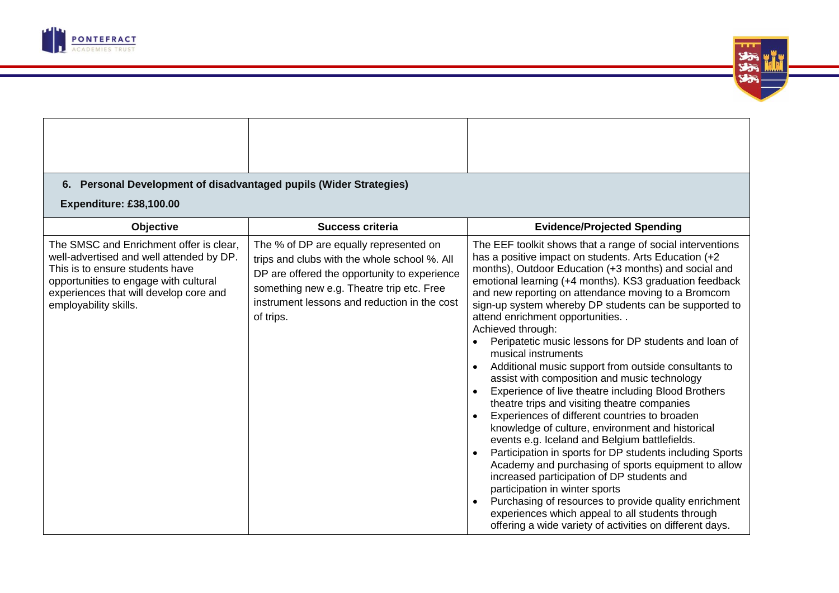



| Personal Development of disadvantaged pupils (Wider Strategies)<br>6.<br><b>Expenditure: £38,100.00</b><br><b>Objective</b>                                                                                                        | <b>Success criteria</b>                                                                                                                                                                                                                          | <b>Evidence/Projected Spending</b>                                                                                                                                                                                                                                                                                                                                                                                                                                                                                                                                                                                                                                                                                                                                                                                                                                                                                                                                                                                                                                                                                                                                                                                                                |
|------------------------------------------------------------------------------------------------------------------------------------------------------------------------------------------------------------------------------------|--------------------------------------------------------------------------------------------------------------------------------------------------------------------------------------------------------------------------------------------------|---------------------------------------------------------------------------------------------------------------------------------------------------------------------------------------------------------------------------------------------------------------------------------------------------------------------------------------------------------------------------------------------------------------------------------------------------------------------------------------------------------------------------------------------------------------------------------------------------------------------------------------------------------------------------------------------------------------------------------------------------------------------------------------------------------------------------------------------------------------------------------------------------------------------------------------------------------------------------------------------------------------------------------------------------------------------------------------------------------------------------------------------------------------------------------------------------------------------------------------------------|
| The SMSC and Enrichment offer is clear,<br>well-advertised and well attended by DP.<br>This is to ensure students have<br>opportunities to engage with cultural<br>experiences that will develop core and<br>employability skills. | The % of DP are equally represented on<br>trips and clubs with the whole school %. All<br>DP are offered the opportunity to experience<br>something new e.g. Theatre trip etc. Free<br>instrument lessons and reduction in the cost<br>of trips. | The EEF toolkit shows that a range of social interventions<br>has a positive impact on students. Arts Education (+2<br>months), Outdoor Education (+3 months) and social and<br>emotional learning (+4 months). KS3 graduation feedback<br>and new reporting on attendance moving to a Bromcom<br>sign-up system whereby DP students can be supported to<br>attend enrichment opportunities<br>Achieved through:<br>Peripatetic music lessons for DP students and loan of<br>musical instruments<br>Additional music support from outside consultants to<br>assist with composition and music technology<br>Experience of live theatre including Blood Brothers<br>theatre trips and visiting theatre companies<br>Experiences of different countries to broaden<br>knowledge of culture, environment and historical<br>events e.g. Iceland and Belgium battlefields.<br>Participation in sports for DP students including Sports<br>Academy and purchasing of sports equipment to allow<br>increased participation of DP students and<br>participation in winter sports<br>Purchasing of resources to provide quality enrichment<br>experiences which appeal to all students through<br>offering a wide variety of activities on different days. |